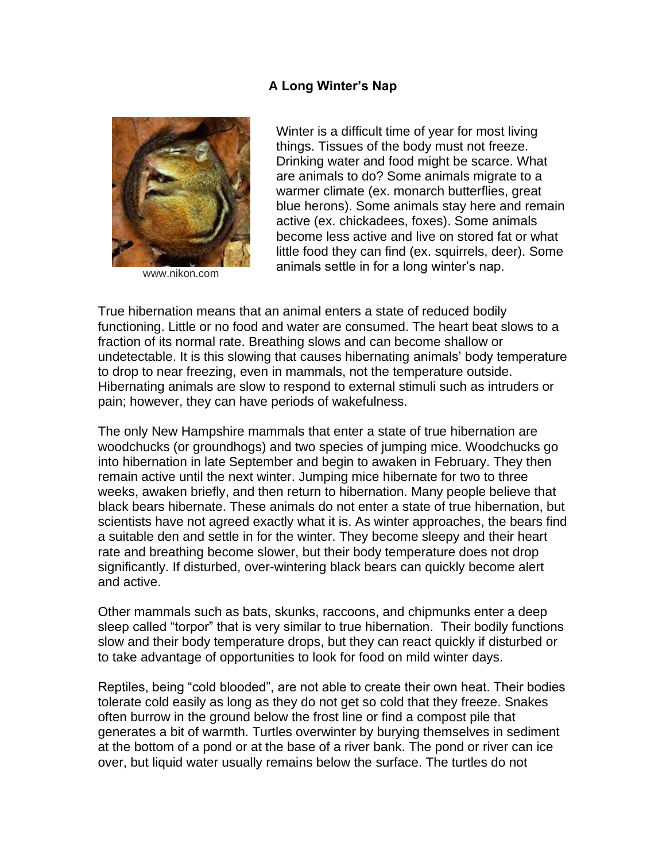## **A Long Winter's Nap**



www.nikon.com

Winter is a difficult time of year for most living things. Tissues of the body must not freeze. Drinking water and food might be scarce. What are animals to do? Some animals migrate to a warmer climate (ex. monarch butterflies, great blue herons). Some animals stay here and remain active (ex. chickadees, foxes). Some animals become less active and live on stored fat or what little food they can find (ex. squirrels, deer). Some animals settle in for a long winter's nap.

True hibernation means that an animal enters a state of reduced bodily functioning. Little or no food and water are consumed. The heart beat slows to a fraction of its normal rate. Breathing slows and can become shallow or undetectable. It is this slowing that causes hibernating animals' body temperature to drop to near freezing, even in mammals, not the temperature outside. Hibernating animals are slow to respond to external stimuli such as intruders or pain; however, they can have periods of wakefulness.

The only New Hampshire mammals that enter a state of true hibernation are woodchucks (or groundhogs) and two species of jumping mice. Woodchucks go into hibernation in late September and begin to awaken in February. They then remain active until the next winter. Jumping mice hibernate for two to three weeks, awaken briefly, and then return to hibernation. Many people believe that black bears hibernate. These animals do not enter a state of true hibernation, but scientists have not agreed exactly what it is. As winter approaches, the bears find a suitable den and settle in for the winter. They become sleepy and their heart rate and breathing become slower, but their body temperature does not drop significantly. If disturbed, over-wintering black bears can quickly become alert and active.

Other mammals such as bats, skunks, raccoons, and chipmunks enter a deep sleep called "torpor" that is very similar to true hibernation. Their bodily functions slow and their body temperature drops, but they can react quickly if disturbed or to take advantage of opportunities to look for food on mild winter days.

Reptiles, being "cold blooded", are not able to create their own heat. Their bodies tolerate cold easily as long as they do not get so cold that they freeze. Snakes often burrow in the ground below the frost line or find a compost pile that generates a bit of warmth. Turtles overwinter by burying themselves in sediment at the bottom of a pond or at the base of a river bank. The pond or river can ice over, but liquid water usually remains below the surface. The turtles do not